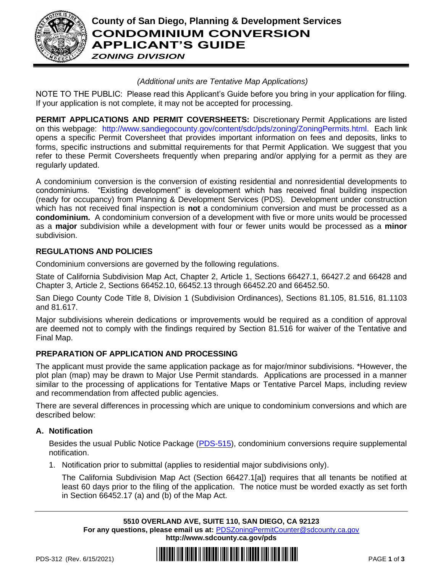

# **County of San Diego, Planning & Development Services CONDOMINIUM CONVERSION APPLICANT'S GUIDE**

*ZONING DIVISION*

# *(Additional units are Tentative Map Applications)*

NOTE TO THE PUBLIC: Please read this Applicant's Guide before you bring in your application for filing. If your application is not complete, it may not be accepted for processing.

**PERMIT APPLICATIONS AND PERMIT COVERSHEETS:** Discretionary Permit Applications are listed on this webpage: [http://www.sandiegocounty.gov/content/sdc/pds/zoning/ZoningPermits.html.](http://www.sandiegocounty.gov/content/sdc/pds/zoning/ZoningPermits.html) Each link opens a specific Permit Coversheet that provides important information on fees and deposits, links to forms, specific instructions and submittal requirements for that Permit Application. We suggest that you refer to these Permit Coversheets frequently when preparing and/or applying for a permit as they are regularly updated.

A condominium conversion is the conversion of existing residential and nonresidential developments to condominiums. "Existing development" is development which has received final building inspection (ready for occupancy) from Planning & Development Services (PDS). Development under construction which has not received final inspection is **not** a condominium conversion and must be processed as a **condominium.** A condominium conversion of a development with five or more units would be processed as a **major** subdivision while a development with four or fewer units would be processed as a **minor** subdivision.

# **REGULATIONS AND POLICIES**

Condominium conversions are governed by the following regulations.

State of California Subdivision Map Act, Chapter 2, Article 1, Sections 66427.1, 66427.2 and 66428 and Chapter 3, Article 2, Sections 66452.10, 66452.13 through 66452.20 and 66452.50.

San Diego County Code Title 8, Division 1 (Subdivision Ordinances), Sections 81.105, 81.516, 81.1103 and 81.617.

Major subdivisions wherein dedications or improvements would be required as a condition of approval are deemed not to comply with the findings required by Section 81.516 for waiver of the Tentative and Final Map.

# **PREPARATION OF APPLICATION AND PROCESSING**

The applicant must provide the same application package as for major/minor subdivisions. \*However, the plot plan (map) may be drawn to Major Use Permit standards. Applications are processed in a manner similar to the processing of applications for Tentative Maps or Tentative Parcel Maps, including review and recommendation from affected public agencies.

There are several differences in processing which are unique to condominium conversions and which are described below:

## **A. Notification**

Besides the usual Public Notice Package [\(PDS-515\)](http://www.sandiegocounty.gov/content/dam/sdc/pds/zoning/formfields/PDS-PLN-515.pdf), condominium conversions require supplemental notification.

1. Notification prior to submittal (applies to residential major subdivisions only).

The California Subdivision Map Act (Section 66427.1[a]) requires that all tenants be notified at least 60 days prior to the filing of the application. The notice must be worded exactly as set forth in Section 66452.17 (a) and (b) of the Map Act.

**5510 OVERLAND AVE, SUITE 110, SAN DIEGO, CA 92123 For any questions, please email us at:** [PDSZoningPermitCounter@sdcounty.ca.gov](mailto:PDSZoningPermitCounter@sdcounty.ca.gov) **<http://www.sdcounty.ca.gov/pds>**

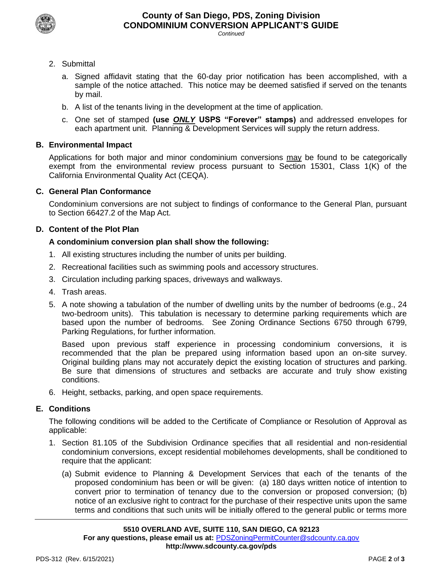

*Continued*

- 2. Submittal
	- a. Signed affidavit stating that the 60-day prior notification has been accomplished, with a sample of the notice attached. This notice may be deemed satisfied if served on the tenants by mail.
	- b. A list of the tenants living in the development at the time of application.
	- c. One set of stamped **(use** *ONLY* **USPS "Forever" stamps)** and addressed envelopes for each apartment unit. Planning & Development Services will supply the return address.

## **B. Environmental Impact**

Applications for both major and minor condominium conversions may be found to be categorically exempt from the environmental review process pursuant to Section 15301, Class 1(K) of the California Environmental Quality Act (CEQA).

#### **C. General Plan Conformance**

Condominium conversions are not subject to findings of conformance to the General Plan, pursuant to Section 66427.2 of the Map Act.

#### **D. Content of the Plot Plan**

#### **A condominium conversion plan shall show the following:**

- 1. All existing structures including the number of units per building.
- 2. Recreational facilities such as swimming pools and accessory structures.
- 3. Circulation including parking spaces, driveways and walkways.
- 4. Trash areas.
- 5. A note showing a tabulation of the number of dwelling units by the number of bedrooms (e.g., 24 two-bedroom units). This tabulation is necessary to determine parking requirements which are based upon the number of bedrooms. See Zoning Ordinance Sections 6750 through 6799, Parking Regulations, for further information.

Based upon previous staff experience in processing condominium conversions, it is recommended that the plan be prepared using information based upon an on-site survey. Original building plans may not accurately depict the existing location of structures and parking. Be sure that dimensions of structures and setbacks are accurate and truly show existing conditions.

6. Height, setbacks, parking, and open space requirements.

#### **E. Conditions**

The following conditions will be added to the Certificate of Compliance or Resolution of Approval as applicable:

- 1. Section 81.105 of the Subdivision Ordinance specifies that all residential and non-residential condominium conversions, except residential mobilehomes developments, shall be conditioned to require that the applicant:
	- (a) Submit evidence to Planning & Development Services that each of the tenants of the proposed condominium has been or will be given: (a) 180 days written notice of intention to convert prior to termination of tenancy due to the conversion or proposed conversion; (b) notice of an exclusive right to contract for the purchase of their respective units upon the same terms and conditions that such units will be initially offered to the general public or terms more